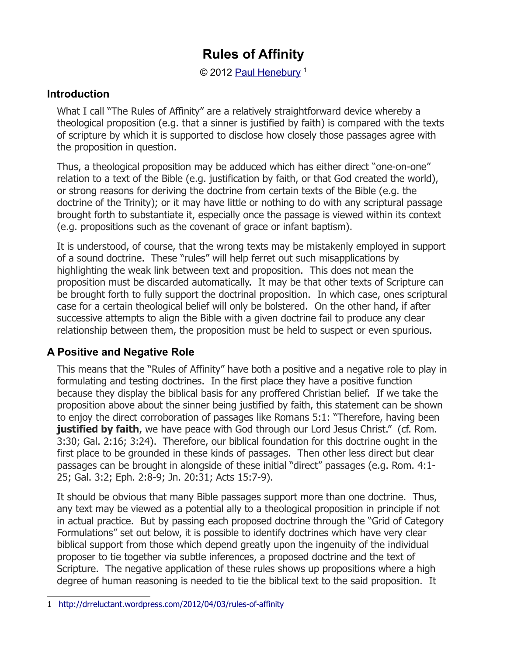© 2012 [Paul Henebury](http://www.spiritandtruth.org/id/ph.htm)<sup>[1](#page-0-0)</sup>

#### **Introduction**

What I call "The Rules of Affinity" are a relatively straightforward device whereby a theological proposition (e.g. that a sinner is justified by faith) is compared with the texts of scripture by which it is supported to disclose how closely those passages agree with the proposition in question.

Thus, a theological proposition may be adduced which has either direct "one-on-one" relation to a text of the Bible (e.g. justification by faith, or that God created the world), or strong reasons for deriving the doctrine from certain texts of the Bible (e.g. the doctrine of the Trinity); or it may have little or nothing to do with any scriptural passage brought forth to substantiate it, especially once the passage is viewed within its context (e.g. propositions such as the covenant of grace or infant baptism).

It is understood, of course, that the wrong texts may be mistakenly employed in support of a sound doctrine. These "rules" will help ferret out such misapplications by highlighting the weak link between text and proposition. This does not mean the proposition must be discarded automatically. It may be that other texts of Scripture can be brought forth to fully support the doctrinal proposition. In which case, ones scriptural case for a certain theological belief will only be bolstered. On the other hand, if after successive attempts to align the Bible with a given doctrine fail to produce any clear relationship between them, the proposition must be held to suspect or even spurious.

### **A Positive and Negative Role**

This means that the "Rules of Affinity" have both a positive and a negative role to play in formulating and testing doctrines. In the first place they have a positive function because they display the biblical basis for any proffered Christian belief. If we take the proposition above about the sinner being justified by faith, this statement can be shown to enjoy the direct corroboration of passages like Romans 5:1: "Therefore, having been **justified by faith**, we have peace with God through our Lord Jesus Christ." (cf. Rom. 3:30; Gal. 2:16; 3:24). Therefore, our biblical foundation for this doctrine ought in the first place to be grounded in these kinds of passages. Then other less direct but clear passages can be brought in alongside of these initial "direct" passages (e.g. Rom. 4:1- 25; Gal. 3:2; Eph. 2:8-9; Jn. 20:31; Acts 15:7-9).

It should be obvious that many Bible passages support more than one doctrine. Thus, any text may be viewed as a potential ally to a theological proposition in principle if not in actual practice. But by passing each proposed doctrine through the "Grid of Category Formulations" set out below, it is possible to identify doctrines which have very clear biblical support from those which depend greatly upon the ingenuity of the individual proposer to tie together via subtle inferences, a proposed doctrine and the text of Scripture. The negative application of these rules shows up propositions where a high degree of human reasoning is needed to tie the biblical text to the said proposition. It

<span id="page-0-0"></span><sup>1</sup> <http://drreluctant.wordpress.com/2012/04/03/rules-of-affinity>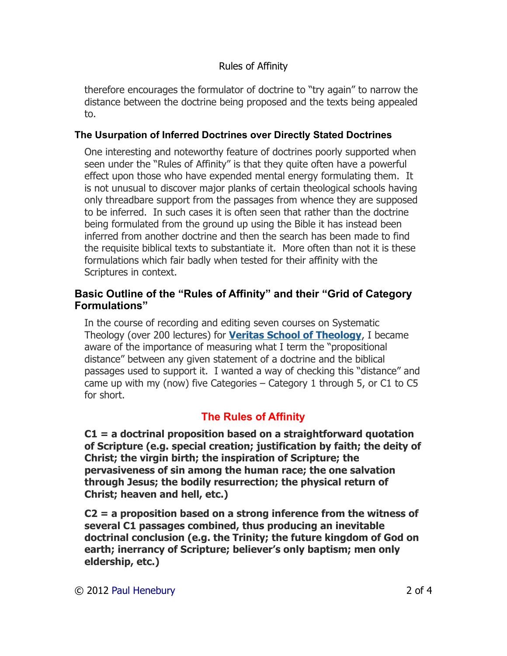therefore encourages the formulator of doctrine to "try again" to narrow the distance between the doctrine being proposed and the texts being appealed to.

#### **The Usurpation of Inferred Doctrines over Directly Stated Doctrines**

One interesting and noteworthy feature of doctrines poorly supported when seen under the "Rules of Affinity" is that they quite often have a powerful effect upon those who have expended mental energy formulating them. It is not unusual to discover major planks of certain theological schools having only threadbare support from the passages from whence they are supposed to be inferred. In such cases it is often seen that rather than the doctrine being formulated from the ground up using the Bible it has instead been inferred from another doctrine and then the search has been made to find the requisite biblical texts to substantiate it. More often than not it is these formulations which fair badly when tested for their affinity with the Scriptures in context.

#### **Basic Outline of the "Rules of Affinity" and their "Grid of Category Formulations"**

In the course of recording and editing seven courses on Systematic Theology (over 200 lectures) for **[Veritas School of Theology](http://www.inquiroveritas.com/)**, I became aware of the importance of measuring what I term the "propositional distance" between any given statement of a doctrine and the biblical passages used to support it. I wanted a way of checking this "distance" and came up with my (now) five Categories – Category 1 through 5, or C1 to C5 for short.

## **The Rules of Affinity**

**C1 = a doctrinal proposition based on a straightforward quotation of Scripture (e.g. special creation; justification by faith; the deity of Christ; the virgin birth; the inspiration of Scripture; the pervasiveness of sin among the human race; the one salvation through Jesus; the bodily resurrection; the physical return of Christ; heaven and hell, etc.)**

**C2 = a proposition based on a strong inference from the witness of several C1 passages combined, thus producing an inevitable doctrinal conclusion (e.g. the Trinity; the future kingdom of God on earth; inerrancy of Scripture; believer's only baptism; men only eldership, etc.)**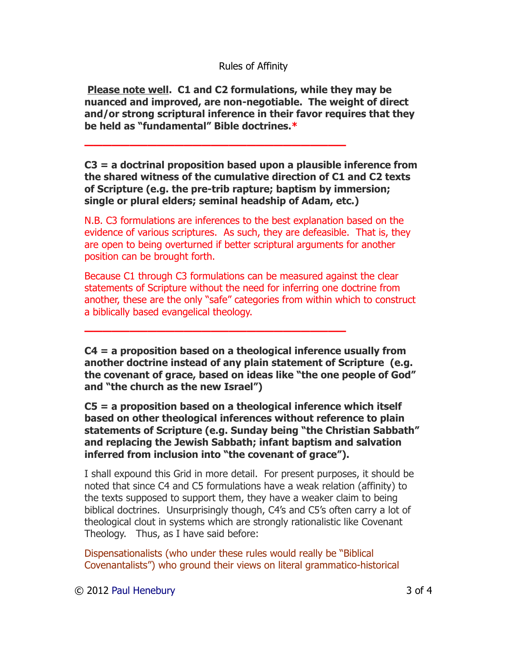**Please note well. C1 and C2 formulations, while they may be nuanced and improved, are non-negotiable. The weight of direct and/or strong scriptural inference in their favor requires that they be held as "fundamental" Bible doctrines.\***

**—————————————————————————————**

**—————————————————————————————**

**C3 = a doctrinal proposition based upon a plausible inference from the shared witness of the cumulative direction of C1 and C2 texts of Scripture (e.g. the pre-trib rapture; baptism by immersion; single or plural elders; seminal headship of Adam, etc.)**

N.B. C3 formulations are inferences to the best explanation based on the evidence of various scriptures. As such, they are defeasible. That is, they are open to being overturned if better scriptural arguments for another position can be brought forth.

Because C1 through C3 formulations can be measured against the clear statements of Scripture without the need for inferring one doctrine from another, these are the only "safe" categories from within which to construct a biblically based evangelical theology.

**C4 = a proposition based on a theological inference usually from another doctrine instead of any plain statement of Scripture (e.g. the covenant of grace, based on ideas like "the one people of God" and "the church as the new Israel")**

**C5 = a proposition based on a theological inference which itself based on other theological inferences without reference to plain statements of Scripture (e.g. Sunday being "the Christian Sabbath" and replacing the Jewish Sabbath; infant baptism and salvation inferred from inclusion into "the covenant of grace").**

I shall expound this Grid in more detail. For present purposes, it should be noted that since C4 and C5 formulations have a weak relation (affinity) to the texts supposed to support them, they have a weaker claim to being biblical doctrines. Unsurprisingly though, C4's and C5's often carry a lot of theological clout in systems which are strongly rationalistic like Covenant Theology. Thus, as I have said before:

Dispensationalists (who under these rules would really be "Biblical Covenantalists") who ground their views on literal grammatico-historical